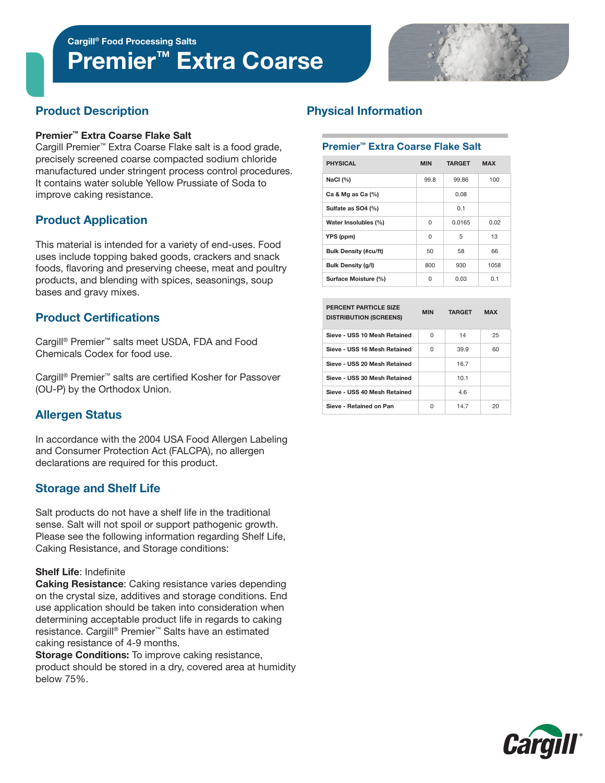# Premier™ Extra Coarse



# Product Description

#### Premier™ Extra Coarse Flake Salt

Cargill Premier™ Extra Coarse Flake salt is a food grade, precisely screened coarse compacted sodium chloride manufactured under stringent process control procedures. It contains water soluble Yellow Prussiate of Soda to improve caking resistance.

# Product Application

This material is intended for a variety of end-uses. Food uses include topping baked goods, crackers and snack foods, flavoring and preserving cheese, meat and poultry products, and blending with spices, seasonings, soup bases and gravy mixes.

# Product Certifications

Cargill® Premier™ salts meet USDA, FDA and Food Chemicals Codex for food use.

Cargill® Premier™ salts are certified Kosher for Passover (OU-P) by the Orthodox Union.

# Allergen Status

In accordance with the 2004 USA Food Allergen Labeling and Consumer Protection Act (FALCPA), no allergen declarations are required for this product.

## Storage and Shelf Life

Salt products do not have a shelf life in the traditional sense. Salt will not spoil or support pathogenic growth. Please see the following information regarding Shelf Life, Caking Resistance, and Storage conditions:

#### Shelf Life: Indefinite

Caking Resistance: Caking resistance varies depending on the crystal size, additives and storage conditions. End use application should be taken into consideration when determining acceptable product life in regards to caking resistance. Cargill® Premier™ Salts have an estimated caking resistance of 4-9 months.

**Storage Conditions:** To improve caking resistance, product should be stored in a dry, covered area at humidity below 75%.

# Physical Information

#### Premier™ Extra Coarse Flake Salt

| <b>PHYSICAL</b>              | <b>MIN</b> | <b>TARGET</b> | <b>MAX</b> |  |
|------------------------------|------------|---------------|------------|--|
| NaCl (%)                     | 99.8       | 99.86         | 100        |  |
| Ca & Mg as Ca $(%)$          |            | 0.08          |            |  |
| Sulfate as SO4 (%)           |            | 0.1           |            |  |
| Water Insolubles (%)         | $\Omega$   | 0.0165        | 0.02       |  |
| YPS (ppm)                    | 0          | 5             | 13         |  |
| <b>Bulk Density (#cu/ft)</b> | 50         | 58            | 66         |  |
| <b>Bulk Density (g/l)</b>    | 800        | 930           | 1058       |  |
| Surface Moisture (%)         | 0          | 0.03          | 0.1        |  |

| <b>PERCENT PARTICLE SIZE</b><br><b>DISTRIBUTION (SCREENS)</b> | <b>MIN</b> | <b>TARGET</b> | <b>MAX</b> |
|---------------------------------------------------------------|------------|---------------|------------|
| Sieve - USS 10 Mesh Retained                                  | U          | 14            | 25         |
| Sieve - USS 16 Mesh Retained                                  | U          | 39.9          | 60         |
| Sieve - USS 20 Mesh Retained                                  |            | 167           |            |
| Sieve - USS 30 Mesh Retained                                  |            | 10.1          |            |
| Sieve - USS 40 Mesh Retained                                  |            | 4 R           |            |
| Sieve - Retained on Pan                                       | n          | 147           | 20         |